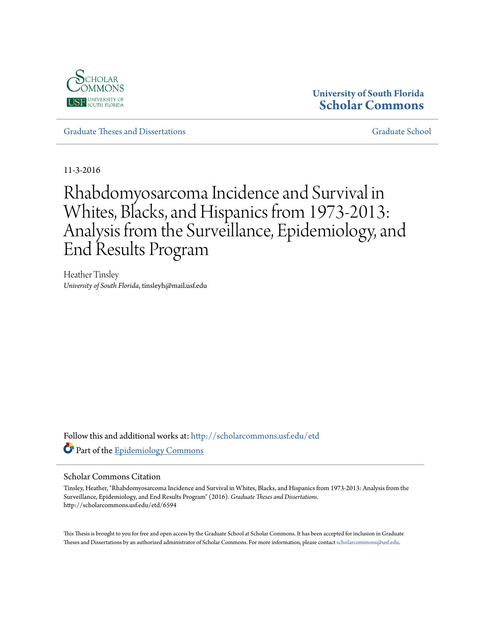

# **University of South Florida [Scholar Commons](http://scholarcommons.usf.edu?utm_source=scholarcommons.usf.edu%2Fetd%2F6594&utm_medium=PDF&utm_campaign=PDFCoverPages)**

[Graduate Theses and Dissertations](http://scholarcommons.usf.edu/etd?utm_source=scholarcommons.usf.edu%2Fetd%2F6594&utm_medium=PDF&utm_campaign=PDFCoverPages) [Graduate School](http://scholarcommons.usf.edu/grad?utm_source=scholarcommons.usf.edu%2Fetd%2F6594&utm_medium=PDF&utm_campaign=PDFCoverPages)

11-3-2016

# Rhabdomyosarcoma Incidence and Survival in Whites, Blacks, and Hispanics from 1973-2013: Analysis from the Surveillance, Epidemiology, and End Results Program

Heather Tinsley *University of South Florida*, tinsleyh@mail.usf.edu

Follow this and additional works at: [http://scholarcommons.usf.edu/etd](http://scholarcommons.usf.edu/etd?utm_source=scholarcommons.usf.edu%2Fetd%2F6594&utm_medium=PDF&utm_campaign=PDFCoverPages) Part of the [Epidemiology Commons](http://network.bepress.com/hgg/discipline/740?utm_source=scholarcommons.usf.edu%2Fetd%2F6594&utm_medium=PDF&utm_campaign=PDFCoverPages)

#### Scholar Commons Citation

Tinsley, Heather, "Rhabdomyosarcoma Incidence and Survival in Whites, Blacks, and Hispanics from 1973-2013: Analysis from the Surveillance, Epidemiology, and End Results Program" (2016). *Graduate Theses and Dissertations.* http://scholarcommons.usf.edu/etd/6594

This Thesis is brought to you for free and open access by the Graduate School at Scholar Commons. It has been accepted for inclusion in Graduate Theses and Dissertations by an authorized administrator of Scholar Commons. For more information, please contact [scholarcommons@usf.edu.](mailto:scholarcommons@usf.edu)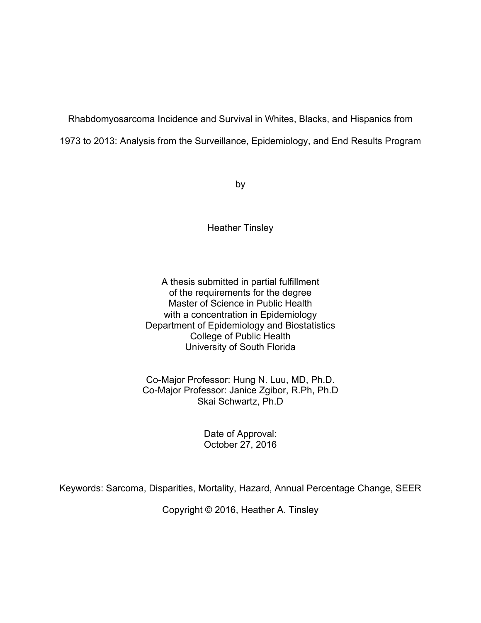Rhabdomyosarcoma Incidence and Survival in Whites, Blacks, and Hispanics from

1973 to 2013: Analysis from the Surveillance, Epidemiology, and End Results Program

by

Heather Tinsley

A thesis submitted in partial fulfillment of the requirements for the degree Master of Science in Public Health with a concentration in Epidemiology Department of Epidemiology and Biostatistics College of Public Health University of South Florida

Co-Major Professor: Hung N. Luu, MD, Ph.D. Co-Major Professor: Janice Zgibor, R.Ph, Ph.D Skai Schwartz, Ph.D

> Date of Approval: October 27, 2016

Keywords: Sarcoma, Disparities, Mortality, Hazard, Annual Percentage Change, SEER

Copyright © 2016, Heather A. Tinsley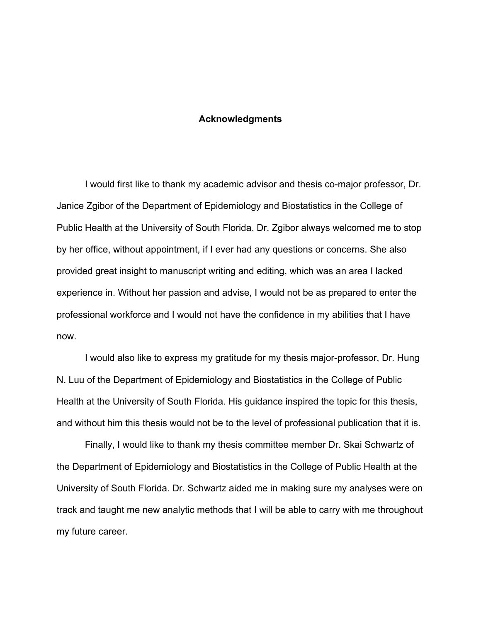#### **Acknowledgments**

I would first like to thank my academic advisor and thesis co-major professor, Dr. Janice Zgibor of the Department of Epidemiology and Biostatistics in the College of Public Health at the University of South Florida. Dr. Zgibor always welcomed me to stop by her office, without appointment, if I ever had any questions or concerns. She also provided great insight to manuscript writing and editing, which was an area I lacked experience in. Without her passion and advise, I would not be as prepared to enter the professional workforce and I would not have the confidence in my abilities that I have now.

I would also like to express my gratitude for my thesis major-professor, Dr. Hung N. Luu of the Department of Epidemiology and Biostatistics in the College of Public Health at the University of South Florida. His guidance inspired the topic for this thesis, and without him this thesis would not be to the level of professional publication that it is.

Finally, I would like to thank my thesis committee member Dr. Skai Schwartz of the Department of Epidemiology and Biostatistics in the College of Public Health at the University of South Florida. Dr. Schwartz aided me in making sure my analyses were on track and taught me new analytic methods that I will be able to carry with me throughout my future career.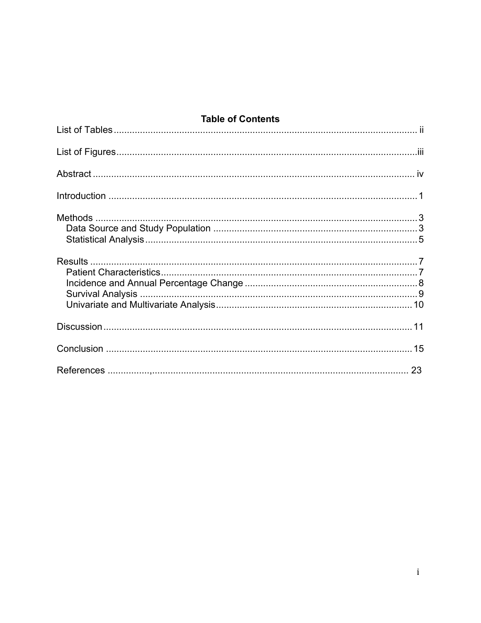# **Table of Contents**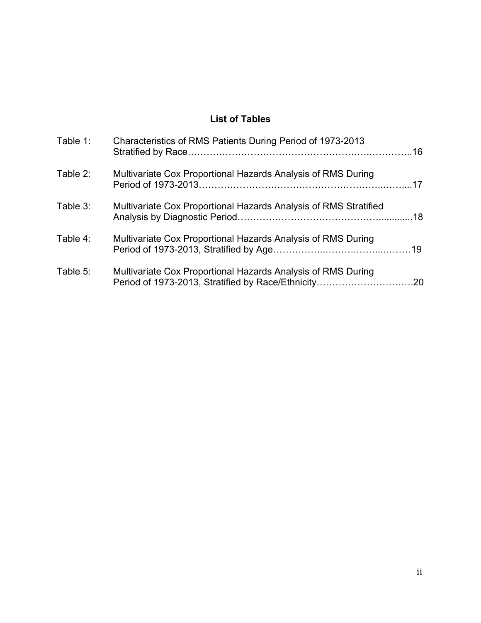# **List of Tables**

| Table 1: | Characteristics of RMS Patients During Period of 1973-2013       |  |
|----------|------------------------------------------------------------------|--|
| Table 2: | Multivariate Cox Proportional Hazards Analysis of RMS During     |  |
| Table 3: | Multivariate Cox Proportional Hazards Analysis of RMS Stratified |  |
| Table 4: | Multivariate Cox Proportional Hazards Analysis of RMS During     |  |
| Table 5: | Multivariate Cox Proportional Hazards Analysis of RMS During     |  |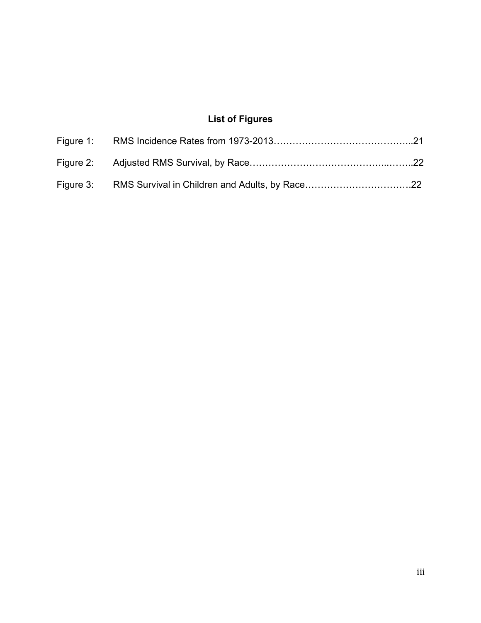# **List of Figures**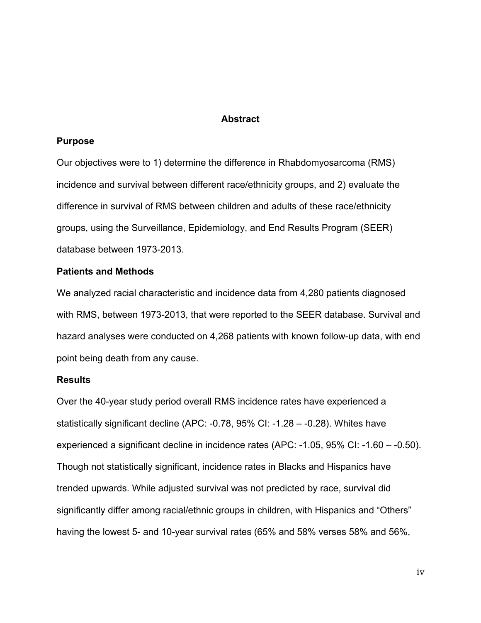#### **Abstract**

#### **Purpose**

Our objectives were to 1) determine the difference in Rhabdomyosarcoma (RMS) incidence and survival between different race/ethnicity groups, and 2) evaluate the difference in survival of RMS between children and adults of these race/ethnicity groups, using the Surveillance, Epidemiology, and End Results Program (SEER) database between 1973-2013.

#### **Patients and Methods**

We analyzed racial characteristic and incidence data from 4,280 patients diagnosed with RMS, between 1973-2013, that were reported to the SEER database. Survival and hazard analyses were conducted on 4,268 patients with known follow-up data, with end point being death from any cause.

#### **Results**

Over the 40-year study period overall RMS incidence rates have experienced a statistically significant decline (APC: -0.78, 95% CI: -1.28 – -0.28). Whites have experienced a significant decline in incidence rates (APC: -1.05, 95% CI: -1.60 – -0.50). Though not statistically significant, incidence rates in Blacks and Hispanics have trended upwards. While adjusted survival was not predicted by race, survival did significantly differ among racial/ethnic groups in children, with Hispanics and "Others" having the lowest 5- and 10-year survival rates (65% and 58% verses 58% and 56%,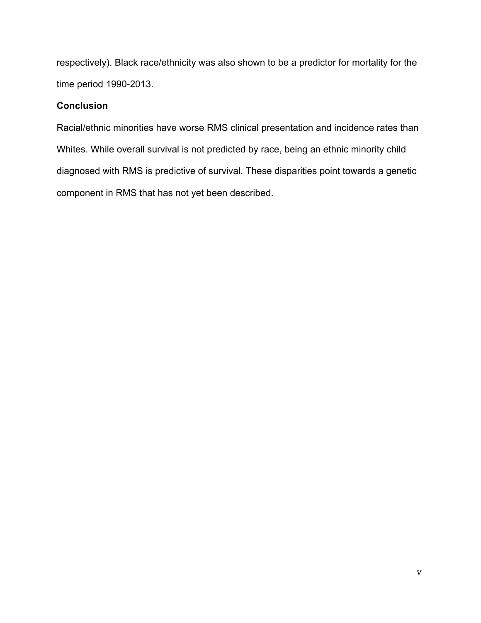respectively). Black race/ethnicity was also shown to be a predictor for mortality for the time period 1990-2013.

## **Conclusion**

Racial/ethnic minorities have worse RMS clinical presentation and incidence rates than Whites. While overall survival is not predicted by race, being an ethnic minority child diagnosed with RMS is predictive of survival. These disparities point towards a genetic component in RMS that has not yet been described.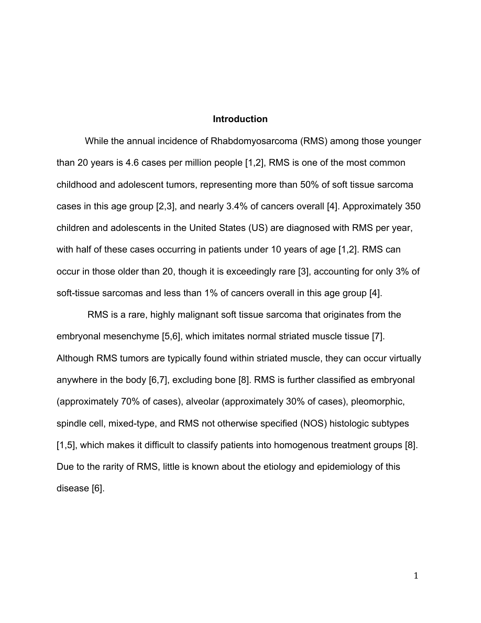#### **Introduction**

While the annual incidence of Rhabdomyosarcoma (RMS) among those younger than 20 years is 4.6 cases per million people [1,2], RMS is one of the most common childhood and adolescent tumors, representing more than 50% of soft tissue sarcoma cases in this age group [2,3], and nearly 3.4% of cancers overall [4]. Approximately 350 children and adolescents in the United States (US) are diagnosed with RMS per year, with half of these cases occurring in patients under 10 years of age [1,2]. RMS can occur in those older than 20, though it is exceedingly rare [3], accounting for only 3% of soft-tissue sarcomas and less than 1% of cancers overall in this age group [4].

RMS is a rare, highly malignant soft tissue sarcoma that originates from the embryonal mesenchyme [5,6], which imitates normal striated muscle tissue [7]. Although RMS tumors are typically found within striated muscle, they can occur virtually anywhere in the body [6,7], excluding bone [8]. RMS is further classified as embryonal (approximately 70% of cases), alveolar (approximately 30% of cases), pleomorphic, spindle cell, mixed-type, and RMS not otherwise specified (NOS) histologic subtypes [1,5], which makes it difficult to classify patients into homogenous treatment groups [8]. Due to the rarity of RMS, little is known about the etiology and epidemiology of this disease [6].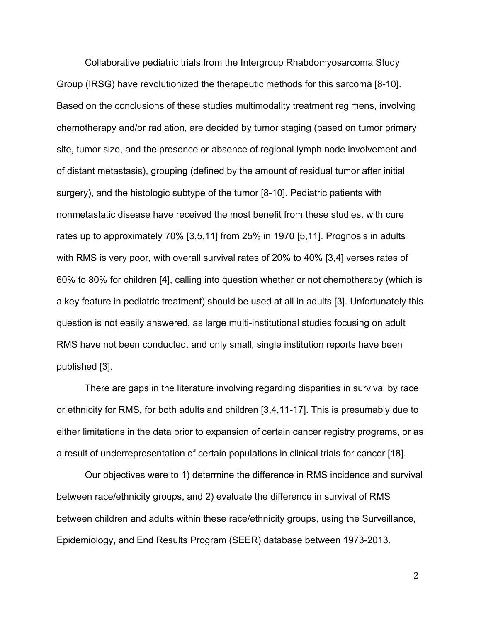Collaborative pediatric trials from the Intergroup Rhabdomyosarcoma Study Group (IRSG) have revolutionized the therapeutic methods for this sarcoma [8-10]. Based on the conclusions of these studies multimodality treatment regimens, involving chemotherapy and/or radiation, are decided by tumor staging (based on tumor primary site, tumor size, and the presence or absence of regional lymph node involvement and of distant metastasis), grouping (defined by the amount of residual tumor after initial surgery), and the histologic subtype of the tumor [8-10]. Pediatric patients with nonmetastatic disease have received the most benefit from these studies, with cure rates up to approximately 70% [3,5,11] from 25% in 1970 [5,11]. Prognosis in adults with RMS is very poor, with overall survival rates of 20% to 40% [3,4] verses rates of 60% to 80% for children [4], calling into question whether or not chemotherapy (which is a key feature in pediatric treatment) should be used at all in adults [3]. Unfortunately this question is not easily answered, as large multi-institutional studies focusing on adult RMS have not been conducted, and only small, single institution reports have been published [3].

There are gaps in the literature involving regarding disparities in survival by race or ethnicity for RMS, for both adults and children [3,4,11-17]. This is presumably due to either limitations in the data prior to expansion of certain cancer registry programs, or as a result of underrepresentation of certain populations in clinical trials for cancer [18].

Our objectives were to 1) determine the difference in RMS incidence and survival between race/ethnicity groups, and 2) evaluate the difference in survival of RMS between children and adults within these race/ethnicity groups, using the Surveillance, Epidemiology, and End Results Program (SEER) database between 1973-2013.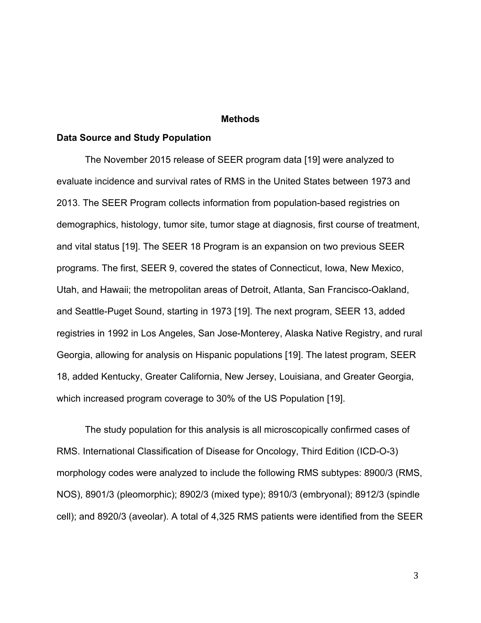#### **Methods**

#### **Data Source and Study Population**

The November 2015 release of SEER program data [19] were analyzed to evaluate incidence and survival rates of RMS in the United States between 1973 and 2013. The SEER Program collects information from population-based registries on demographics, histology, tumor site, tumor stage at diagnosis, first course of treatment, and vital status [19]. The SEER 18 Program is an expansion on two previous SEER programs. The first, SEER 9, covered the states of Connecticut, Iowa, New Mexico, Utah, and Hawaii; the metropolitan areas of Detroit, Atlanta, San Francisco-Oakland, and Seattle-Puget Sound, starting in 1973 [19]. The next program, SEER 13, added registries in 1992 in Los Angeles, San Jose-Monterey, Alaska Native Registry, and rural Georgia, allowing for analysis on Hispanic populations [19]. The latest program, SEER 18, added Kentucky, Greater California, New Jersey, Louisiana, and Greater Georgia, which increased program coverage to 30% of the US Population [19].

The study population for this analysis is all microscopically confirmed cases of RMS. International Classification of Disease for Oncology, Third Edition (ICD-O-3) morphology codes were analyzed to include the following RMS subtypes: 8900/3 (RMS, NOS), 8901/3 (pleomorphic); 8902/3 (mixed type); 8910/3 (embryonal); 8912/3 (spindle cell); and 8920/3 (aveolar). A total of 4,325 RMS patients were identified from the SEER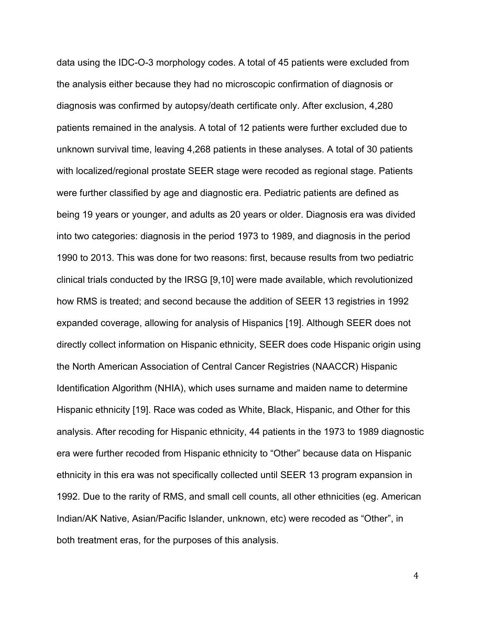data using the IDC-O-3 morphology codes. A total of 45 patients were excluded from the analysis either because they had no microscopic confirmation of diagnosis or diagnosis was confirmed by autopsy/death certificate only. After exclusion, 4,280 patients remained in the analysis. A total of 12 patients were further excluded due to unknown survival time, leaving 4,268 patients in these analyses. A total of 30 patients with localized/regional prostate SEER stage were recoded as regional stage. Patients were further classified by age and diagnostic era. Pediatric patients are defined as being 19 years or younger, and adults as 20 years or older. Diagnosis era was divided into two categories: diagnosis in the period 1973 to 1989, and diagnosis in the period 1990 to 2013. This was done for two reasons: first, because results from two pediatric clinical trials conducted by the IRSG [9,10] were made available, which revolutionized how RMS is treated; and second because the addition of SEER 13 registries in 1992 expanded coverage, allowing for analysis of Hispanics [19]. Although SEER does not directly collect information on Hispanic ethnicity, SEER does code Hispanic origin using the North American Association of Central Cancer Registries (NAACCR) Hispanic Identification Algorithm (NHIA), which uses surname and maiden name to determine Hispanic ethnicity [19]. Race was coded as White, Black, Hispanic, and Other for this analysis. After recoding for Hispanic ethnicity, 44 patients in the 1973 to 1989 diagnostic era were further recoded from Hispanic ethnicity to "Other" because data on Hispanic ethnicity in this era was not specifically collected until SEER 13 program expansion in 1992. Due to the rarity of RMS, and small cell counts, all other ethnicities (eg. American Indian/AK Native, Asian/Pacific Islander, unknown, etc) were recoded as "Other", in both treatment eras, for the purposes of this analysis.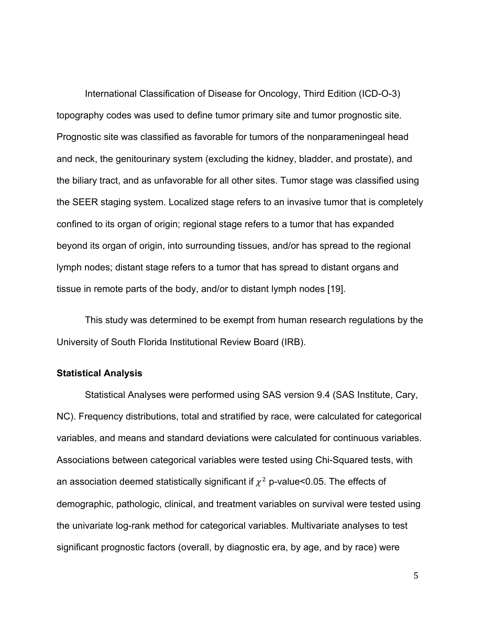International Classification of Disease for Oncology, Third Edition (ICD-O-3) topography codes was used to define tumor primary site and tumor prognostic site. Prognostic site was classified as favorable for tumors of the nonparameningeal head and neck, the genitourinary system (excluding the kidney, bladder, and prostate), and the biliary tract, and as unfavorable for all other sites. Tumor stage was classified using the SEER staging system. Localized stage refers to an invasive tumor that is completely confined to its organ of origin; regional stage refers to a tumor that has expanded beyond its organ of origin, into surrounding tissues, and/or has spread to the regional lymph nodes; distant stage refers to a tumor that has spread to distant organs and tissue in remote parts of the body, and/or to distant lymph nodes [19].

This study was determined to be exempt from human research regulations by the University of South Florida Institutional Review Board (IRB).

#### **Statistical Analysis**

Statistical Analyses were performed using SAS version 9.4 (SAS Institute, Cary, NC). Frequency distributions, total and stratified by race, were calculated for categorical variables, and means and standard deviations were calculated for continuous variables. Associations between categorical variables were tested using Chi-Squared tests, with an association deemed statistically significant if  $\chi^2$  p-value<0.05. The effects of demographic, pathologic, clinical, and treatment variables on survival were tested using the univariate log-rank method for categorical variables. Multivariate analyses to test significant prognostic factors (overall, by diagnostic era, by age, and by race) were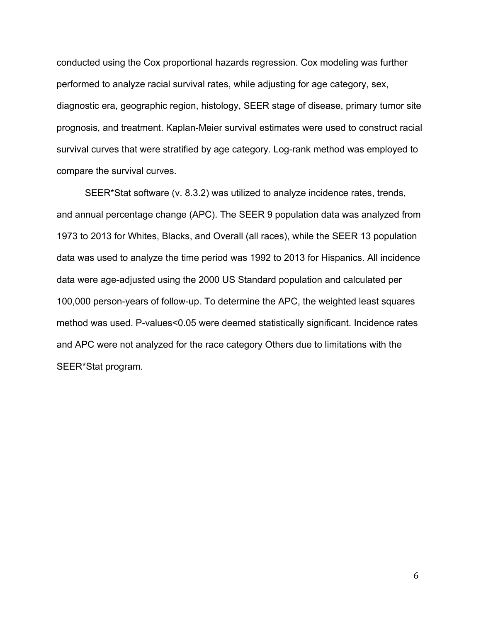conducted using the Cox proportional hazards regression. Cox modeling was further performed to analyze racial survival rates, while adjusting for age category, sex, diagnostic era, geographic region, histology, SEER stage of disease, primary tumor site prognosis, and treatment. Kaplan-Meier survival estimates were used to construct racial survival curves that were stratified by age category. Log-rank method was employed to compare the survival curves.

SEER\*Stat software (v. 8.3.2) was utilized to analyze incidence rates, trends, and annual percentage change (APC). The SEER 9 population data was analyzed from 1973 to 2013 for Whites, Blacks, and Overall (all races), while the SEER 13 population data was used to analyze the time period was 1992 to 2013 for Hispanics. All incidence data were age-adjusted using the 2000 US Standard population and calculated per 100,000 person-years of follow-up. To determine the APC, the weighted least squares method was used. P-values<0.05 were deemed statistically significant. Incidence rates and APC were not analyzed for the race category Others due to limitations with the SEER\*Stat program.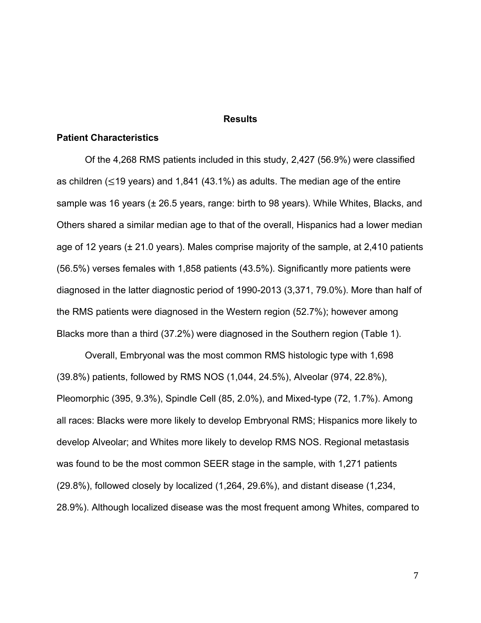#### **Results**

#### **Patient Characteristics**

Of the 4,268 RMS patients included in this study, 2,427 (56.9%) were classified as children ( $\leq$ 19 years) and 1,841 (43.1%) as adults. The median age of the entire sample was 16 years (± 26.5 years, range: birth to 98 years). While Whites, Blacks, and Others shared a similar median age to that of the overall, Hispanics had a lower median age of 12 years (± 21.0 years). Males comprise majority of the sample, at 2,410 patients (56.5%) verses females with 1,858 patients (43.5%). Significantly more patients were diagnosed in the latter diagnostic period of 1990-2013 (3,371, 79.0%). More than half of the RMS patients were diagnosed in the Western region (52.7%); however among Blacks more than a third (37.2%) were diagnosed in the Southern region (Table 1).

Overall, Embryonal was the most common RMS histologic type with 1,698 (39.8%) patients, followed by RMS NOS (1,044, 24.5%), Alveolar (974, 22.8%), Pleomorphic (395, 9.3%), Spindle Cell (85, 2.0%), and Mixed-type (72, 1.7%). Among all races: Blacks were more likely to develop Embryonal RMS; Hispanics more likely to develop Alveolar; and Whites more likely to develop RMS NOS. Regional metastasis was found to be the most common SEER stage in the sample, with 1,271 patients (29.8%), followed closely by localized (1,264, 29.6%), and distant disease (1,234, 28.9%). Although localized disease was the most frequent among Whites, compared to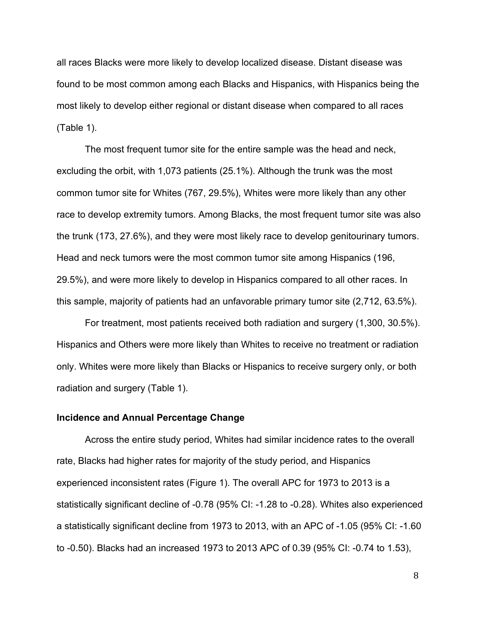all races Blacks were more likely to develop localized disease. Distant disease was found to be most common among each Blacks and Hispanics, with Hispanics being the most likely to develop either regional or distant disease when compared to all races (Table 1).

The most frequent tumor site for the entire sample was the head and neck, excluding the orbit, with 1,073 patients (25.1%). Although the trunk was the most common tumor site for Whites (767, 29.5%), Whites were more likely than any other race to develop extremity tumors. Among Blacks, the most frequent tumor site was also the trunk (173, 27.6%), and they were most likely race to develop genitourinary tumors. Head and neck tumors were the most common tumor site among Hispanics (196, 29.5%), and were more likely to develop in Hispanics compared to all other races. In this sample, majority of patients had an unfavorable primary tumor site (2,712, 63.5%).

For treatment, most patients received both radiation and surgery (1,300, 30.5%). Hispanics and Others were more likely than Whites to receive no treatment or radiation only. Whites were more likely than Blacks or Hispanics to receive surgery only, or both radiation and surgery (Table 1).

#### **Incidence and Annual Percentage Change**

Across the entire study period, Whites had similar incidence rates to the overall rate, Blacks had higher rates for majority of the study period, and Hispanics experienced inconsistent rates (Figure 1). The overall APC for 1973 to 2013 is a statistically significant decline of -0.78 (95% CI: -1.28 to -0.28). Whites also experienced a statistically significant decline from 1973 to 2013, with an APC of -1.05 (95% CI: -1.60 to -0.50). Blacks had an increased 1973 to 2013 APC of 0.39 (95% CI: -0.74 to 1.53),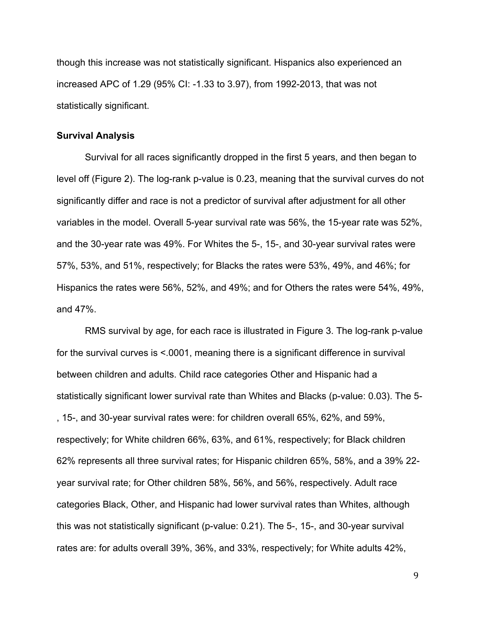though this increase was not statistically significant. Hispanics also experienced an increased APC of 1.29 (95% CI: -1.33 to 3.97), from 1992-2013, that was not statistically significant.

#### **Survival Analysis**

Survival for all races significantly dropped in the first 5 years, and then began to level off (Figure 2). The log-rank p-value is 0.23, meaning that the survival curves do not significantly differ and race is not a predictor of survival after adjustment for all other variables in the model. Overall 5-year survival rate was 56%, the 15-year rate was 52%, and the 30-year rate was 49%. For Whites the 5-, 15-, and 30-year survival rates were 57%, 53%, and 51%, respectively; for Blacks the rates were 53%, 49%, and 46%; for Hispanics the rates were 56%, 52%, and 49%; and for Others the rates were 54%, 49%, and 47%.

RMS survival by age, for each race is illustrated in Figure 3. The log-rank p-value for the survival curves is <.0001, meaning there is a significant difference in survival between children and adults. Child race categories Other and Hispanic had a statistically significant lower survival rate than Whites and Blacks (p-value: 0.03). The 5- , 15-, and 30-year survival rates were: for children overall 65%, 62%, and 59%, respectively; for White children 66%, 63%, and 61%, respectively; for Black children 62% represents all three survival rates; for Hispanic children 65%, 58%, and a 39% 22 year survival rate; for Other children 58%, 56%, and 56%, respectively. Adult race categories Black, Other, and Hispanic had lower survival rates than Whites, although this was not statistically significant (p-value: 0.21). The 5-, 15-, and 30-year survival rates are: for adults overall 39%, 36%, and 33%, respectively; for White adults 42%,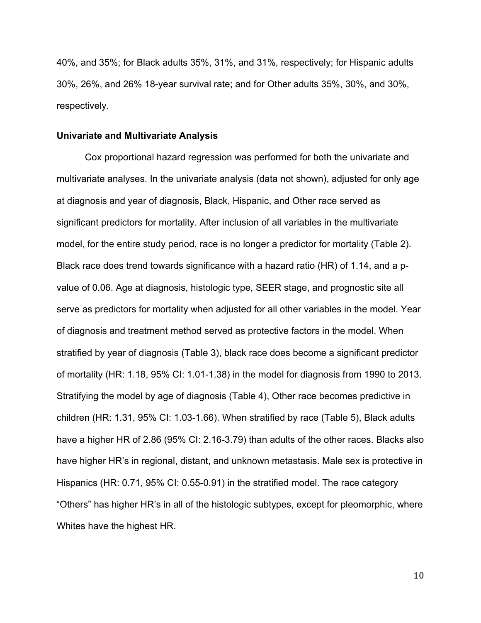40%, and 35%; for Black adults 35%, 31%, and 31%, respectively; for Hispanic adults 30%, 26%, and 26% 18-year survival rate; and for Other adults 35%, 30%, and 30%, respectively.

#### **Univariate and Multivariate Analysis**

Cox proportional hazard regression was performed for both the univariate and multivariate analyses. In the univariate analysis (data not shown), adjusted for only age at diagnosis and year of diagnosis, Black, Hispanic, and Other race served as significant predictors for mortality. After inclusion of all variables in the multivariate model, for the entire study period, race is no longer a predictor for mortality (Table 2). Black race does trend towards significance with a hazard ratio (HR) of 1.14, and a pvalue of 0.06. Age at diagnosis, histologic type, SEER stage, and prognostic site all serve as predictors for mortality when adjusted for all other variables in the model. Year of diagnosis and treatment method served as protective factors in the model. When stratified by year of diagnosis (Table 3), black race does become a significant predictor of mortality (HR: 1.18, 95% CI: 1.01-1.38) in the model for diagnosis from 1990 to 2013. Stratifying the model by age of diagnosis (Table 4), Other race becomes predictive in children (HR: 1.31, 95% CI: 1.03-1.66). When stratified by race (Table 5), Black adults have a higher HR of 2.86 (95% CI: 2.16-3.79) than adults of the other races. Blacks also have higher HR's in regional, distant, and unknown metastasis. Male sex is protective in Hispanics (HR: 0.71, 95% CI: 0.55-0.91) in the stratified model. The race category "Others" has higher HR's in all of the histologic subtypes, except for pleomorphic, where Whites have the highest HR.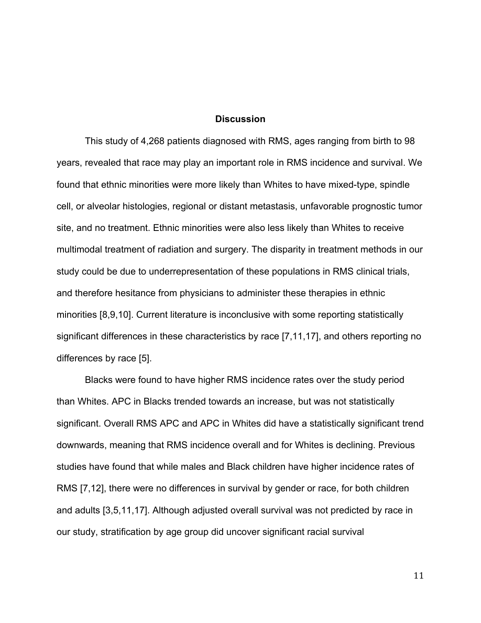#### **Discussion**

This study of 4,268 patients diagnosed with RMS, ages ranging from birth to 98 years, revealed that race may play an important role in RMS incidence and survival. We found that ethnic minorities were more likely than Whites to have mixed-type, spindle cell, or alveolar histologies, regional or distant metastasis, unfavorable prognostic tumor site, and no treatment. Ethnic minorities were also less likely than Whites to receive multimodal treatment of radiation and surgery. The disparity in treatment methods in our study could be due to underrepresentation of these populations in RMS clinical trials, and therefore hesitance from physicians to administer these therapies in ethnic minorities [8,9,10]. Current literature is inconclusive with some reporting statistically significant differences in these characteristics by race [7,11,17], and others reporting no differences by race [5].

Blacks were found to have higher RMS incidence rates over the study period than Whites. APC in Blacks trended towards an increase, but was not statistically significant. Overall RMS APC and APC in Whites did have a statistically significant trend downwards, meaning that RMS incidence overall and for Whites is declining. Previous studies have found that while males and Black children have higher incidence rates of RMS [7,12], there were no differences in survival by gender or race, for both children and adults [3,5,11,17]. Although adjusted overall survival was not predicted by race in our study, stratification by age group did uncover significant racial survival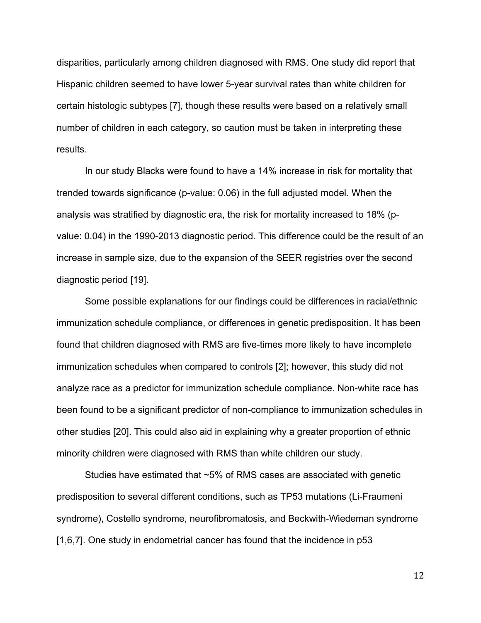disparities, particularly among children diagnosed with RMS. One study did report that Hispanic children seemed to have lower 5-year survival rates than white children for certain histologic subtypes [7], though these results were based on a relatively small number of children in each category, so caution must be taken in interpreting these results.

In our study Blacks were found to have a 14% increase in risk for mortality that trended towards significance (p-value: 0.06) in the full adjusted model. When the analysis was stratified by diagnostic era, the risk for mortality increased to 18% (pvalue: 0.04) in the 1990-2013 diagnostic period. This difference could be the result of an increase in sample size, due to the expansion of the SEER registries over the second diagnostic period [19].

Some possible explanations for our findings could be differences in racial/ethnic immunization schedule compliance, or differences in genetic predisposition. It has been found that children diagnosed with RMS are five-times more likely to have incomplete immunization schedules when compared to controls [2]; however, this study did not analyze race as a predictor for immunization schedule compliance. Non-white race has been found to be a significant predictor of non-compliance to immunization schedules in other studies [20]. This could also aid in explaining why a greater proportion of ethnic minority children were diagnosed with RMS than white children our study.

Studies have estimated that ~5% of RMS cases are associated with genetic predisposition to several different conditions, such as TP53 mutations (Li-Fraumeni syndrome), Costello syndrome, neurofibromatosis, and Beckwith-Wiedeman syndrome [1,6,7]. One study in endometrial cancer has found that the incidence in p53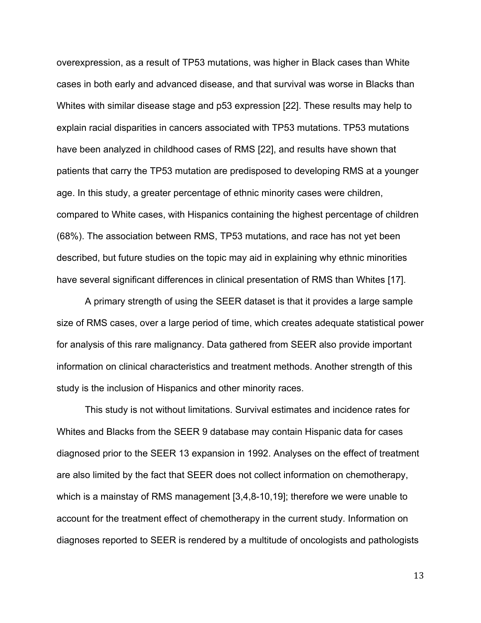overexpression, as a result of TP53 mutations, was higher in Black cases than White cases in both early and advanced disease, and that survival was worse in Blacks than Whites with similar disease stage and p53 expression [22]. These results may help to explain racial disparities in cancers associated with TP53 mutations. TP53 mutations have been analyzed in childhood cases of RMS [22], and results have shown that patients that carry the TP53 mutation are predisposed to developing RMS at a younger age. In this study, a greater percentage of ethnic minority cases were children, compared to White cases, with Hispanics containing the highest percentage of children (68%). The association between RMS, TP53 mutations, and race has not yet been described, but future studies on the topic may aid in explaining why ethnic minorities have several significant differences in clinical presentation of RMS than Whites [17].

A primary strength of using the SEER dataset is that it provides a large sample size of RMS cases, over a large period of time, which creates adequate statistical power for analysis of this rare malignancy. Data gathered from SEER also provide important information on clinical characteristics and treatment methods. Another strength of this study is the inclusion of Hispanics and other minority races.

This study is not without limitations. Survival estimates and incidence rates for Whites and Blacks from the SEER 9 database may contain Hispanic data for cases diagnosed prior to the SEER 13 expansion in 1992. Analyses on the effect of treatment are also limited by the fact that SEER does not collect information on chemotherapy, which is a mainstay of RMS management [3,4,8-10,19]; therefore we were unable to account for the treatment effect of chemotherapy in the current study. Information on diagnoses reported to SEER is rendered by a multitude of oncologists and pathologists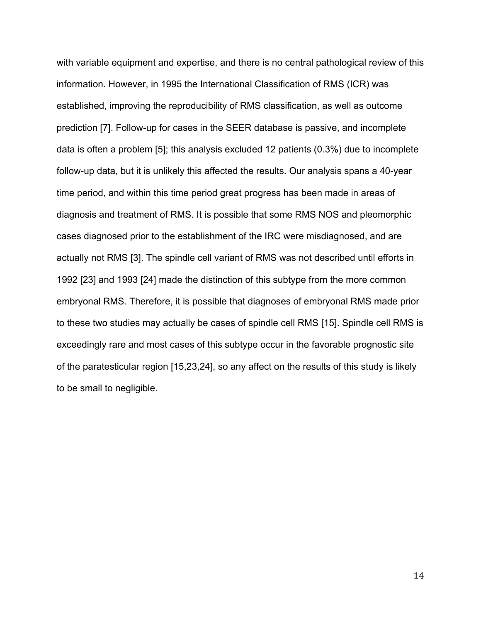with variable equipment and expertise, and there is no central pathological review of this information. However, in 1995 the International Classification of RMS (ICR) was established, improving the reproducibility of RMS classification, as well as outcome prediction [7]. Follow-up for cases in the SEER database is passive, and incomplete data is often a problem [5]; this analysis excluded 12 patients (0.3%) due to incomplete follow-up data, but it is unlikely this affected the results. Our analysis spans a 40-year time period, and within this time period great progress has been made in areas of diagnosis and treatment of RMS. It is possible that some RMS NOS and pleomorphic cases diagnosed prior to the establishment of the IRC were misdiagnosed, and are actually not RMS [3]. The spindle cell variant of RMS was not described until efforts in 1992 [23] and 1993 [24] made the distinction of this subtype from the more common embryonal RMS. Therefore, it is possible that diagnoses of embryonal RMS made prior to these two studies may actually be cases of spindle cell RMS [15]. Spindle cell RMS is exceedingly rare and most cases of this subtype occur in the favorable prognostic site of the paratesticular region [15,23,24], so any affect on the results of this study is likely to be small to negligible.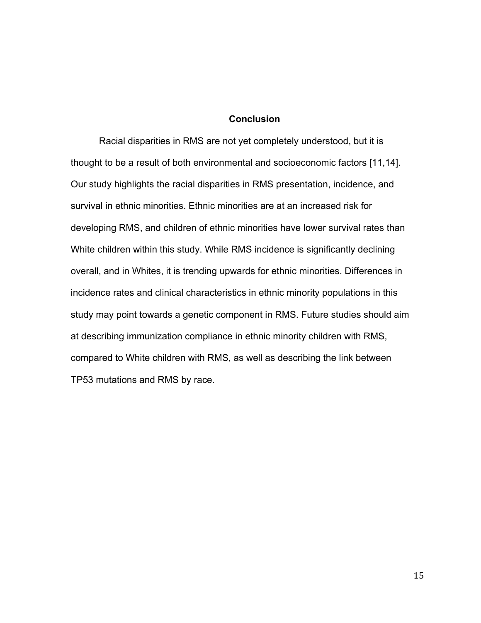### **Conclusion**

Racial disparities in RMS are not yet completely understood, but it is thought to be a result of both environmental and socioeconomic factors [11,14]. Our study highlights the racial disparities in RMS presentation, incidence, and survival in ethnic minorities. Ethnic minorities are at an increased risk for developing RMS, and children of ethnic minorities have lower survival rates than White children within this study. While RMS incidence is significantly declining overall, and in Whites, it is trending upwards for ethnic minorities. Differences in incidence rates and clinical characteristics in ethnic minority populations in this study may point towards a genetic component in RMS. Future studies should aim at describing immunization compliance in ethnic minority children with RMS, compared to White children with RMS, as well as describing the link between TP53 mutations and RMS by race.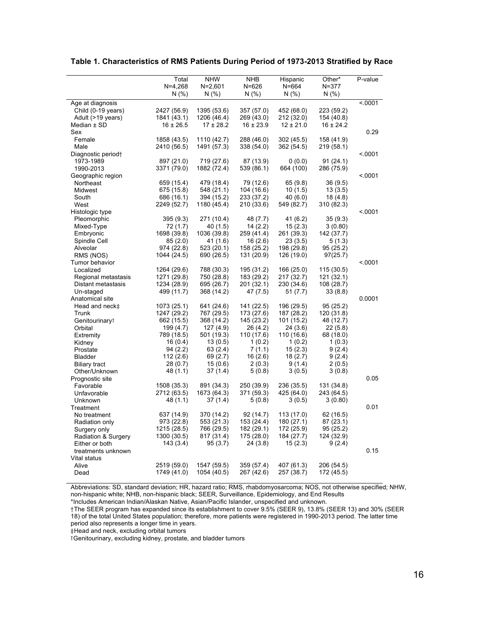|                            | Total         | <b>NHW</b>    | <b>NHB</b>    | Hispanic      | Other*        | P-value |
|----------------------------|---------------|---------------|---------------|---------------|---------------|---------|
|                            | $N=4,268$     | $N = 2,601$   | $N = 626$     | $N = 664$     | $N = 377$     |         |
|                            | N(% )         | N(% )         | N(% )         | N(% )         | N(% )         |         |
| Age at diagnosis           |               |               |               |               |               | < .0001 |
| Child (0-19 years)         | 2427 (56.9)   | 1395 (53.6)   | 357 (57.0)    | 452 (68.0)    | 223 (59.2)    |         |
| Adult (>19 years)          | 1841 (43.1)   | 1206 (46.4)   | 269 (43.0)    | 212 (32.0)    | 154 (40.8)    |         |
| Median ± SD                | $16 \pm 26.5$ | $17 \pm 28.2$ | $16 \pm 23.9$ | $12 \pm 21.0$ | $16 \pm 24.2$ |         |
| Sex                        |               |               |               |               |               | 0.29    |
| Female                     | 1858 (43.5)   | 1110 (42.7)   | 288 (46.0)    | 302 (45.5)    | 158 (41.9)    |         |
| Male                       | 2410 (56.5)   | 1491 (57.3)   | 338 (54.0)    | 362 (54.5)    | 219 (58.1)    |         |
| Diagnostic period+         |               |               |               |               |               | < 0001  |
| 1973-1989                  | 897 (21.0)    | 719 (27.6)    | 87 (13.9)     | 0(0.0)        | 91(24.1)      |         |
| 1990-2013                  | 3371 (79.0)   | 1882 (72.4)   | 539 (86.1)    | 664 (100)     | 286 (75.9)    |         |
| Geographic region          |               |               |               |               |               | < 0001  |
| Northeast                  | 659 (15.4)    | 479 (18.4)    | 79 (12.6)     | 65 (9.8)      | 36(9.5)       |         |
| Midwest                    | 675 (15.8)    | 548 (21.1)    | 104 (16.6)    | 10(1.5)       | 13(3.5)       |         |
| South                      | 686 (16.1)    | 394 (15.2)    | 233 (37.2)    | 40 (6.0)      | 18 (4.8)      |         |
| West                       | 2249 (52.7)   | 1180 (45.4)   | 210 (33.6)    | 549 (82.7)    | 310 (82.3)    |         |
| Histologic type            |               |               |               |               |               | < 0001  |
| Pleomorphic                | 395 (9.3)     | 271 (10.4)    | 48 (7.7)      | 41 (6.2)      | 35(9.3)       |         |
| Mixed-Type                 | 72 (1.7)      | 40 (1.5)      | 14(2.2)       | 15(2.3)       | 3(0.80)       |         |
| Embryonic                  | 1698 (39.8)   | 1036 (39.8)   | 259 (41.4)    | 261 (39.3)    | 142 (37.7)    |         |
| Spindle Cell               | 85(2.0)       | 41 (1.6)      | 16(2.6)       | 23(3.5)       | 5(1.3)        |         |
| Alveolar                   | 974 (22.8)    | 523 (20.1)    | 158 (25.2)    | 198 (29.8)    | 95 (25.2)     |         |
| RMS (NOS)                  | 1044 (24.5)   | 690 (26.5)    | 131 (20.9)    | 126 (19.0)    | 97(25.7)      |         |
| Tumor behavior             |               |               |               |               |               | < .0001 |
| Localized                  | 1264 (29.6)   | 788 (30.3)    | 195 (31.2)    | 166 (25.0)    | 115 (30.5)    |         |
| Regional metastasis        | 1271 (29.8)   | 750 (28.8)    | 183 (29.2)    | 217 (32.7)    | 121 (32.1)    |         |
| Distant metastasis         | 1234 (28.9)   | 695 (26.7)    | 201 (32.1)    | 230 (34.6)    | 108 (28.7)    |         |
| Un-staged                  | 499 (11.7)    | 368 (14.2)    | 47 (7.5)      | 51 (7.7)      | 33(8.8)       |         |
| Anatomical site            |               |               |               |               |               | 0.0001  |
| Head and neck‡             | 1073 (25.1)   | 641 (24.6)    | 141 (22.5)    | 196 (29.5)    | 95 (25.2)     |         |
| Trunk                      | 1247 (29.2)   | 767 (29.5)    | 173 (27.6)    | 187 (28.2)    | 120 (31.8)    |         |
| Genitourinary <sub>T</sub> | 662 (15.5)    | 368 (14.2)    | 145 (23.2)    | 101 (15.2)    | 48 (12.7)     |         |
| Orbital                    | 199 (4.7)     | 127(4.9)      | 26 (4.2)      | 24 (3.6)      | 22(5.8)       |         |
| Extremity                  | 789 (18.5)    | 501 (19.3)    | 110 (17.6)    | 110 (16.6)    | 68 (18.0)     |         |
| Kidney                     | 16(0.4)       | 13(0.5)       | 1(0.2)        | 1(0.2)        | 1(0.3)        |         |
| Prostate                   | 94 (2.2)      | 63 (2.4)      | 7(1.1)        | 15(2.3)       | 9(2.4)        |         |
| <b>Bladder</b>             | 112(2.6)      | 69 (2.7)      | 16(2.6)       | 18(2.7)       | 9(2.4)        |         |
| <b>Biliary tract</b>       | 28 (0.7)      | 15(0.6)       | 2(0.3)        | 9(1.4)        | 2(0.5)        |         |
| Other/Unknown              | 48 (1.1)      | 37 (1.4)      | 5(0.8)        | 3(0.5)        | 3(0.8)        |         |
| Prognostic site            |               |               |               |               |               | 0.05    |
| Favorable                  | 1508 (35.3)   | 891 (34.3)    | 250 (39.9)    | 236 (35.5)    | 131 (34.8)    |         |
| Unfavorable                | 2712 (63.5)   | 1673 (64.3)   | 371 (59.3)    | 425 (64.0)    | 243 (64.5)    |         |
| Unknown                    | 48 (1.1)      | 37(1.4)       | 5(0.8)        | 3(0.5)        | 3(0.80)       |         |
| Treatment                  |               |               |               |               |               | 0.01    |
| No treatment               | 637 (14.9)    | 370 (14.2)    | 92 (14.7)     | 113 (17.0)    | 62 (16.5)     |         |
| Radiation only             | 973 (22.8)    | 553 (21.3)    | 153 (24.4)    | 180 (27.1)    | 87 (23.1)     |         |
| Surgery only               | 1215 (28.5)   | 766 (29.5)    | 182 (29.1)    | 172 (25.9)    | 95 (25.2)     |         |
| Radiation & Surgery        | 1300 (30.5)   | 817 (31.4)    | 175 (28.0)    | 184 (27.7)    | 124 (32.9)    |         |
| Either or both             | 143 (3.4)     | 95(3.7)       | 24(3.8)       | 15(2.3)       | 9(2.4)        |         |
| treatments unknown         |               |               |               |               |               | 0.15    |
| Vital status               |               |               |               |               |               |         |
| Alive                      | 2519 (59.0)   | 1547 (59.5)   | 359 (57.4)    | 407 (61.3)    | 206 (54.5)    |         |
| Dead                       | 1749 (41.0)   | 1054 (40.5)   | 267 (42.6)    | 257 (38.7)    | 172 (45.5)    |         |

#### **Table 1. Characteristics of RMS Patients During Period of 1973-2013 Stratified by Race**

Abbreviations: SD, standard deviation; HR, hazard ratio; RMS, rhabdomyosarcoma; NOS, not otherwise specified; NHW, non-hispanic white; NHB, non-hispanic black; SEER, Surveillance, Epidemiology, and End Results

\*Includes American Indian/Alaskan Native, Asian/Pacific Islander, unspecified and unknown.

†The SEER program has expanded since its establishment to cover 9.5% (SEER 9), 13.8% (SEER 13) and 30% (SEER 18) of the total United States population; therefore, more patients were registered in 1990-2013 period. The latter time period also represents a longer time in years.

‡Head and neck, excluding orbital tumors

⊺Genitourinary, excluding kidney, prostate, and bladder tumors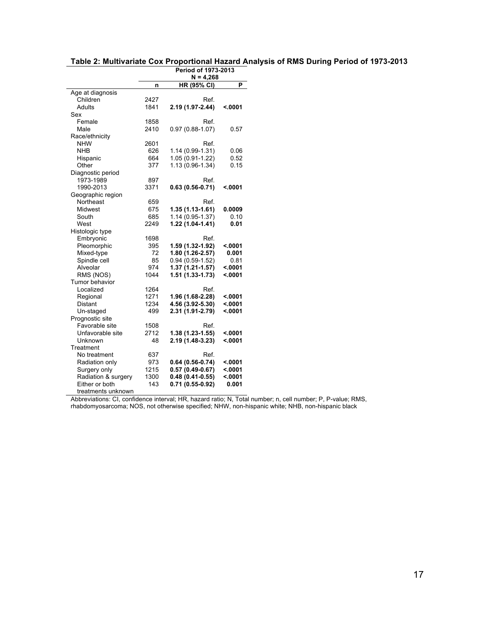|                     |      | Period of 1973-2013 |         |
|---------------------|------|---------------------|---------|
|                     |      | $N = 4,268$         |         |
|                     | n    | <b>HR (95% CI)</b>  | P       |
| Age at diagnosis    |      |                     |         |
| Children            | 2427 | Ref.                |         |
| Adults              | 1841 | 2.19 (1.97-2.44)    | < 0001  |
| Sex                 |      |                     |         |
| Female              | 1858 | Ref.                |         |
| Male                | 2410 | $0.97(0.88 - 1.07)$ | 0.57    |
| Race/ethnicity      |      |                     |         |
| <b>NHW</b>          | 2601 | Ref.                |         |
| <b>NHB</b>          | 626  | 1.14 (0.99-1.31)    | 0.06    |
| Hispanic            | 664  | 1.05 (0.91-1.22)    | 0.52    |
| Other               | 377  | 1.13 (0.96-1.34)    | 0.15    |
| Diagnostic period   |      |                     |         |
| 1973-1989           | 897  | Ref.                |         |
| 1990-2013           | 3371 | $0.63(0.56-0.71)$   | < 0001  |
| Geographic region   |      |                     |         |
| Northeast           | 659  | Ref.                |         |
| Midwest             | 675  | 1.35 (1.13-1.61)    | 0.0009  |
| South               | 685  | 1.14 (0.95-1.37)    | 0.10    |
| West                | 2249 | 1.22 (1.04-1.41)    | 0.01    |
| Histologic type     |      |                     |         |
| Embryonic           | 1698 | Ref.                |         |
| Pleomorphic         | 395  | 1.59 (1.32-1.92)    | < 0001  |
| Mixed-type          | 72   | 1.80 (1.26-2.57)    | 0.001   |
| Spindle cell        | 85   | $0.94(0.59-1.52)$   | 0.81    |
| Alveolar            | 974  | 1.37 (1.21-1.57)    | < 0001  |
| RMS (NOS)           | 1044 | $1.51(1.33 - 1.73)$ | < 0001  |
| Tumor behavior      |      |                     |         |
| Localized           | 1264 | Ref.                |         |
| Regional            | 1271 | 1.96 (1.68-2.28)    | < 0001  |
| Distant             | 1234 | 4.56 (3.92-5.30)    | < 0001  |
| Un-staged           | 499  | 2.31 (1.91-2.79)    | < 0001  |
| Prognostic site     |      |                     |         |
| Favorable site      | 1508 | Ref.                |         |
| Unfavorable site    | 2712 | 1.38 (1.23-1.55)    | < 0001  |
| Unknown             | 48   | 2.19 (1.48-3.23)    | < .0001 |
| Treatment           |      |                     |         |
| No treatment        | 637  | Ref.                |         |
| Radiation only      | 973  | $0.64(0.56-0.74)$   | <.0001  |
| Surgery only        | 1215 | $0.57(0.49-0.67)$   | < .0001 |
| Radiation & surgery | 1300 | $0.48(0.41-0.55)$   | < .0001 |
| Either or both      | 143  | 0.71 (0.55-0.92)    | 0.001   |
| treatments unknown  |      |                     |         |

Abbreviations: CI, confidence interval; HR, hazard ratio; N, Total number; n, cell number; P, P-value; RMS, rhabdomyosarcoma; NOS, not otherwise specified; NHW, non-hispanic white; NHB, non-hispanic black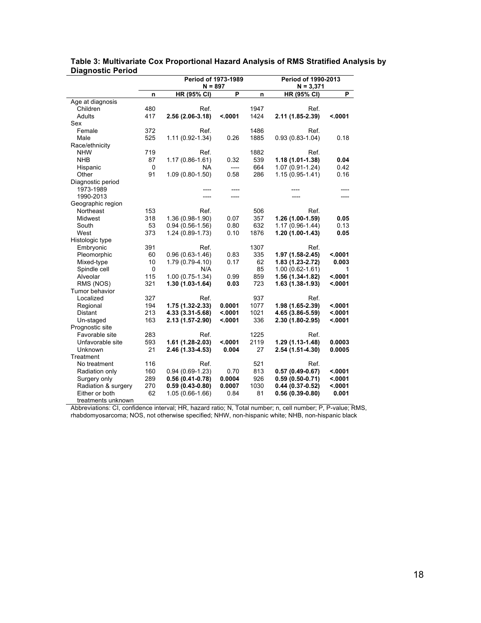|                              |                   | <b>Period of 1973-1989</b>      | Period of 1990-2013 |      |                                   |         |
|------------------------------|-------------------|---------------------------------|---------------------|------|-----------------------------------|---------|
|                              |                   | $N = 897$<br><b>HR (95% CI)</b> | P                   |      | $N = 3,371$<br><b>HR (95% CI)</b> | P       |
| Age at diagnosis             | n                 |                                 |                     | n    |                                   |         |
| Children                     | 480               | Ref.                            |                     | 1947 | Ref.                              |         |
| Adults                       | 417               | 2.56 (2.06-3.18)                | < .0001             | 1424 | 2.11 (1.85-2.39)                  | < .0001 |
|                              |                   |                                 |                     |      |                                   |         |
| Sex<br>Female                | 372               | Ref.                            |                     | 1486 | Ref.                              |         |
| Male                         | 525               |                                 | 0.26                | 1885 |                                   | 0.18    |
|                              |                   | 1.11 (0.92-1.34)                |                     |      | $0.93(0.83-1.04)$                 |         |
| Race/ethnicity<br><b>NHW</b> | 719               | Ref.                            |                     | 1882 | Ref.                              |         |
| <b>NHB</b>                   | 87                |                                 | 0.32                | 539  |                                   | 0.04    |
|                              |                   | 1.17 (0.86-1.61)                |                     |      | 1.18 (1.01-1.38)                  |         |
| Hispanic                     | $\mathbf 0$<br>91 | NA                              | ----                | 664  | 1.07 (0.91-1.24)                  | 0.42    |
| Other                        |                   | $1.09(0.80-1.50)$               | 0.58                | 286  | $1.15(0.95 - 1.41)$               | 0.16    |
| Diagnostic period            |                   |                                 |                     |      |                                   |         |
| 1973-1989                    |                   | ----                            | ----                |      |                                   |         |
| 1990-2013                    |                   |                                 | ----                |      |                                   |         |
| Geographic region            |                   |                                 |                     |      |                                   |         |
| Northeast                    | 153               | Ref.                            |                     | 506  | Ref.                              |         |
| Midwest                      | 318               | 1.36 (0.98-1.90)                | 0.07                | 357  | 1.26 (1.00-1.59)                  | 0.05    |
| South                        | 53                | $0.94(0.56-1.56)$               | 0.80                | 632  | $1.17(0.96-1.44)$                 | 0.13    |
| West                         | 373               | 1.24 (0.89-1.73)                | 0.10                | 1876 | 1.20 (1.00-1.43)                  | 0.05    |
| Histologic type              |                   |                                 |                     |      |                                   |         |
| Embryonic                    | 391               | Ref.                            |                     | 1307 | Ref.                              |         |
| Pleomorphic                  | 60                | $0.96(0.63-1.46)$               | 0.83                | 335  | 1.97 (1.58-2.45)                  | <.0001  |
| Mixed-type                   | 10                | 1.79 (0.79-4.10)                | 0.17                | 62   | 1.83 (1.23-2.72)                  | 0.003   |
| Spindle cell                 | $\mathbf 0$       | N/A                             |                     | 85   | $1.00(0.62 - 1.61)$               | 1       |
| Alveolar                     | 115               | $1.00(0.75-1.34)$               | 0.99                | 859  | 1.56 (1.34-1.82)                  | < .0001 |
| RMS (NOS)                    | 321               | 1.30 (1.03-1.64)                | 0.03                | 723  | 1.63 (1.38-1.93)                  | < .0001 |
| Tumor behavior               |                   |                                 |                     |      |                                   |         |
| Localized                    | 327               | Ref.                            |                     | 937  | Ref.                              |         |
| Regional                     | 194               | 1.75 (1.32-2.33)                | 0.0001              | 1077 | 1.98 (1.65-2.39)                  | < .0001 |
| <b>Distant</b>               | 213               | 4.33 (3.31-5.68)                | < .0001             | 1021 | 4.65 (3.86-5.59)                  | < .0001 |
| Un-staged                    | 163               | 2.13 (1.57-2.90)                | < .0001             | 336  | 2.30 (1.80-2.95)                  | < .0001 |
| Prognostic site              |                   |                                 |                     |      |                                   |         |
| Favorable site               | 283               | Ref.                            |                     | 1225 | Ref.                              |         |
| Unfavorable site             | 593               | 1.61 (1.28-2.03)                | < .0001             | 2119 | 1.29 (1.13-1.48)                  | 0.0003  |
| Unknown                      | 21                | 2.46 (1.33-4.53)                | 0.004               | 27   | 2.54 (1.51-4.30)                  | 0.0005  |
| Treatment                    |                   |                                 |                     |      |                                   |         |
| No treatment                 | 116               | Ref.                            |                     | 521  | Ref.                              |         |
| Radiation only               | 160               | $0.94(0.69-1.23)$               | 0.70                | 813  | $0.57(0.49-0.67)$                 | < .0001 |
| Surgery only                 | 289               | $0.56(0.41-0.78)$               | 0.0004              | 926  | $0.59(0.50-0.71)$                 | < .0001 |
| Radiation & surgery          | 270               | $0.59(0.43-0.80)$               | 0.0007              | 1030 | $0.44(0.37-0.52)$                 | < .0001 |
| Either or both               | 62                | $1.05(0.66-1.66)$               | 0.84                | 81   | $0.56(0.39-0.80)$                 | 0.001   |
| treatments unknown           |                   |                                 |                     |      |                                   |         |

**Table 3: Multivariate Cox Proportional Hazard Analysis of RMS Stratified Analysis by Diagnostic Period**

Abbreviations: CI, confidence interval; HR, hazard ratio; N, Total number; n, cell number; P, P-value; RMS, rhabdomyosarcoma; NOS, not otherwise specified; NHW, non-hispanic white; NHB, non-hispanic black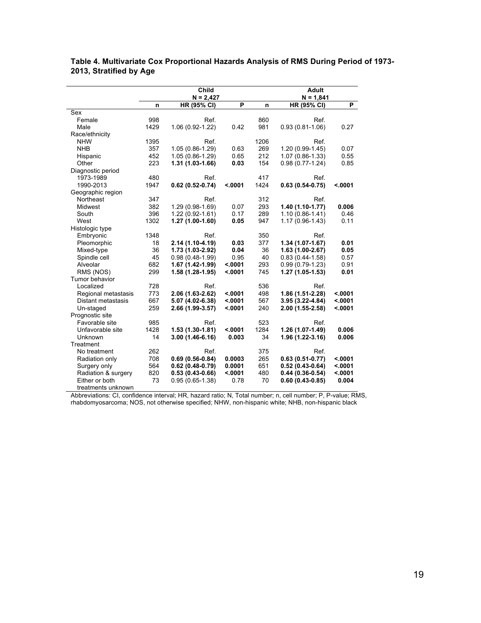|                     |      | <b>Child</b>        | <b>Adult</b> |      |                     |         |
|---------------------|------|---------------------|--------------|------|---------------------|---------|
|                     |      | $N = 2,427$         |              |      | $N = 1,841$         |         |
|                     | n    | HR (95% CI)         | P            | n    | HR (95% CI)         | P       |
| Sex                 |      |                     |              |      |                     |         |
| Female              | 998  | Ref.                |              | 860  | Ref.                |         |
| Male                | 1429 | 1.06 (0.92-1.22)    | 0.42         | 981  | $0.93(0.81-1.06)$   | 0.27    |
| Race/ethnicity      |      |                     |              |      |                     |         |
| <b>NHW</b>          | 1395 | Ref.                |              | 1206 | Ref.                |         |
| <b>NHB</b>          | 357  | 1.05 (0.86-1.29)    | 0.63         | 269  | 1.20 (0.99-1.45)    | 0.07    |
| Hispanic            | 452  | 1.05 (0.86-1.29)    | 0.65         | 212  | 1.07 (0.86-1.33)    | 0.55    |
| Other               | 223  | 1.31 (1.03-1.66)    | 0.03         | 154  | $0.98(0.77-1.24)$   | 0.85    |
| Diagnostic period   |      |                     |              |      |                     |         |
| 1973-1989           | 480  | Ref.                |              | 417  | Ref.                |         |
| 1990-2013           | 1947 | $0.62(0.52-0.74)$   | < .0001      | 1424 | $0.63(0.54-0.75)$   | < .0001 |
| Geographic region   |      |                     |              |      |                     |         |
| Northeast           | 347  | Ref.                |              | 312  | Ref.                |         |
| Midwest             | 382  | 1.29 (0.98-1.69)    | 0.07         | 293  | 1.40 (1.10-1.77)    | 0.006   |
| South               | 396  | $1.22(0.92 - 1.61)$ | 0.17         | 289  | $1.10(0.86 - 1.41)$ | 0.46    |
| West                | 1302 | 1.27 (1.00-1.60)    | 0.05         | 947  | 1.17 (0.96-1.43)    | 0.11    |
| Histologic type     |      |                     |              |      |                     |         |
| Embryonic           | 1348 | Ref.                |              | 350  | Ref.                |         |
| Pleomorphic         | 18   | 2.14 (1.10-4.19)    | 0.03         | 377  | $1.34(1.07-1.67)$   | 0.01    |
| Mixed-type          | 36   | 1.73 (1.03-2.92)    | 0.04         | 36   | $1.63(1.00-2.67)$   | 0.05    |
| Spindle cell        | 45   | $0.98(0.48-1.99)$   | 0.95         | 40   | $0.83(0.44-1.58)$   | 0.57    |
| Alveolar            | 682  | 1.67 (1.42-1.99)    | < .0001      | 293  | $0.99(0.79-1.23)$   | 0.91    |
| RMS (NOS)           | 299  | 1.58 (1.28-1.95)    | < .0001      | 745  | $1.27(1.05-1.53)$   | 0.01    |
| Tumor behavior      |      |                     |              |      |                     |         |
| Localized           | 728  | Ref.                |              | 536  | Ref.                |         |
| Regional metastasis | 773  | 2.06 (1.63-2.62)    | < .0001      | 498  | 1.86 (1.51-2.28)    | < .0001 |
| Distant metastasis  | 667  | 5.07 (4.02-6.38)    | < .0001      | 567  | 3.95 (3.22-4.84)    | < .0001 |
| Un-staged           | 259  | 2.66 (1.99-3.57)    | < .0001      | 240  | 2.00 (1.55-2.58)    | < .0001 |
| Prognostic site     |      |                     |              |      |                     |         |
| Favorable site      | 985  | Ref.                |              | 523  | Ref.                |         |
| Unfavorable site    | 1428 | $1.53(1.30-1.81)$   | < .0001      | 1284 | 1.26 (1.07-1.49)    | 0.006   |
| Unknown             | 14   | $3.00(1.46-6.16)$   | 0.003        | 34   | 1.96 (1.22-3.16)    | 0.006   |
| Treatment           |      |                     |              |      |                     |         |
| No treatment        | 262  | Ref.                |              | 375  | Ref.                |         |
| Radiation only      | 708  | $0.69(0.56-0.84)$   | 0.0003       | 265  | $0.63(0.51-0.77)$   | < .0001 |
| Surgery only        | 564  | $0.62(0.48-0.79)$   | 0.0001       | 651  | $0.52(0.43-0.64)$   | < .0001 |
| Radiation & surgery | 820  | $0.53(0.43-0.66)$   | < .0001      | 480  | $0.44(0.36-0.54)$   | < .0001 |
| Either or both      | 73   | $0.95(0.65-1.38)$   | 0.78         | 70   | $0.60(0.43-0.85)$   | 0.004   |
| treatments unknown  |      |                     |              |      |                     |         |

#### **Table 4. Multivariate Cox Proportional Hazards Analysis of RMS During Period of 1973- 2013, Stratified by Age**

Abbreviations: CI, confidence interval; HR, hazard ratio; N, Total number; n, cell number; P, P-value; RMS, rhabdomyosarcoma; NOS, not otherwise specified; NHW, non-hispanic white; NHB, non-hispanic black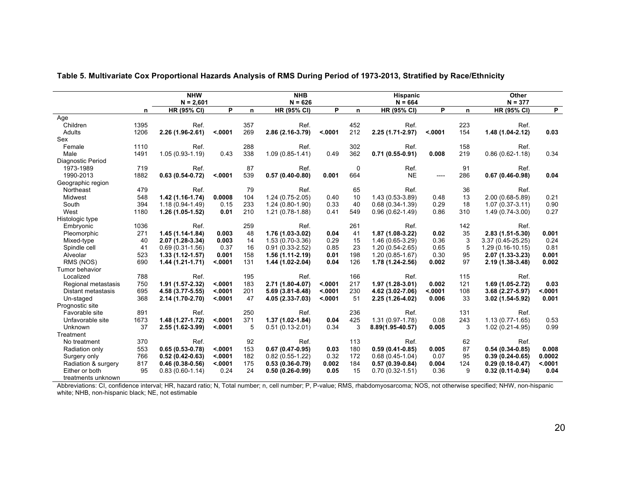|                     | <b>NHW</b> |                                   |         | <b>NHB</b><br>$N = 626$ |                     |         | <b>Hispanic</b><br>$N = 664$ |                     |         | Other<br>$N = 377$ |                     |         |
|---------------------|------------|-----------------------------------|---------|-------------------------|---------------------|---------|------------------------------|---------------------|---------|--------------------|---------------------|---------|
|                     | n          | $N = 2,601$<br><b>HR (95% CI)</b> | P       | n                       | <b>HR (95% CI)</b>  | P       | n                            | <b>HR (95% CI)</b>  | P       | n                  | <b>HR (95% CI)</b>  | P.      |
| Age                 |            |                                   |         |                         |                     |         |                              |                     |         |                    |                     |         |
| Children            | 1395       | Ref.                              |         | 357                     | Ref.                |         | 452                          | Ref.                |         | 223                | Ref.                |         |
| Adults              | 1206       | $2.26(1.96-2.61)$                 | < .0001 | 269                     | 2.86 (2.16-3.79)    | < .0001 | 212                          | 2.25 (1.71-2.97)    | < .0001 | 154                | $1.48(1.04-2.12)$   | 0.03    |
| Sex                 |            |                                   |         |                         |                     |         |                              |                     |         |                    |                     |         |
| Female              | 1110       | Ref.                              |         | 288                     | Ref.                |         | 302                          | Ref.                |         | 158                | Ref.                |         |
| Male                | 1491       | $1.05(0.93-1.19)$                 | 0.43    | 338                     | $1.09(0.85 - 1.41)$ | 0.49    | 362                          | $0.71(0.55-0.91)$   | 0.008   | 219                | $0.86(0.62 - 1.18)$ | 0.34    |
| Diagnostic Period   |            |                                   |         |                         |                     |         |                              |                     |         |                    |                     |         |
| 1973-1989           | 719        | Ref.                              |         | 87                      | Ref.                |         | 0                            | Ref.                |         | 91                 | Ref.                |         |
| 1990-2013           | 1882       | $0.63(0.54-0.72)$                 | < .0001 | 539                     | $0.57(0.40-0.80)$   | 0.001   | 664                          | <b>NE</b>           | $---$   | 286                | $0.67(0.46-0.98)$   | 0.04    |
| Geographic region   |            |                                   |         |                         |                     |         |                              |                     |         |                    |                     |         |
| Northeast           | 479        | Ref.                              |         | 79                      | Ref.                |         | 65                           | Ref.                |         | 36                 | Ref.                |         |
| Midwest             | 548        | $1.42(1.16-1.74)$                 | 0.0008  | 104                     | $1.24(0.75-2.05)$   | 0.40    | 10                           | $1.43(0.53-3.89)$   | 0.48    | 13                 | 2.00 (0.68-5.89)    | 0.21    |
| South               | 394        | $1.18(0.94 - 1.49)$               | 0.15    | 233                     | $1.24(0.80-1.90)$   | 0.33    | 40                           | $0.68(0.34-1.39)$   | 0.29    | 18                 | $1.07(0.37-3.11)$   | 0.90    |
| West                | 1180       | $1.26(1.05-1.52)$                 | 0.01    | 210                     | $1.21(0.78-1.88)$   | 0.41    | 549                          | $0.96(0.62-1.49)$   | 0.86    | 310                | $1.49(0.74-3.00)$   | 0.27    |
| Histologic type     |            |                                   |         |                         |                     |         |                              |                     |         |                    |                     |         |
| Embryonic           | 1036       | Ref.                              |         | 259                     | Ref.                |         | 261                          | Ref.                |         | 142                | Ref.                |         |
| Pleomorphic         | 271        | $1.45(1.14-1.84)$                 | 0.003   | 48                      | 1.76 (1.03-3.02)    | 0.04    | 41                           | $1.87(1.08-3.22)$   | 0.02    | 35                 | $2.83(1.51 - 5.30)$ | 0.001   |
| Mixed-type          | 40         | 2.07 (1.28-3.34)                  | 0.003   | 14                      | 1.53 (0.70-3.36)    | 0.29    | 15                           | 1.46 (0.65-3.29)    | 0.36    | 3                  | 3.37 (0.45-25.25)   | 0.24    |
| Spindle cell        | 41         | $0.69(0.31-1.56)$                 | 0.37    | 16                      | $0.91(0.33 - 2.52)$ | 0.85    | 23                           | $1.20(0.54 - 2.65)$ | 0.65    | 5                  | $1.29(0.16-10.15)$  | 0.81    |
| Alveolar            | 523        | $1.33(1.12 - 1.57)$               | 0.001   | 158                     | 1.56 (1.11-2.19)    | 0.01    | 198                          | $1.20(0.85 - 1.67)$ | 0.30    | 95                 | 2.07 (1.33-3.23)    | 0.001   |
| RMS (NOS)           | 690        | $1.44(1.21-1.71)$                 | < .0001 | 131                     | 1.44 (1.02-2.04)    | 0.04    | 126                          | 1.78 (1.24-2.56)    | 0.002   | 97                 | 2.19 (1.38-3.48)    | 0.002   |
| Tumor behavior      |            |                                   |         |                         |                     |         |                              |                     |         |                    |                     |         |
| Localized           | 788        | Ref.                              |         | 195                     | Ref.                |         | 166                          | Ref.                |         | 115                | Ref.                |         |
| Regional metastasis | 750        | $1.91(1.57 - 2.32)$               | < .0001 | 183                     | 2.71 (1.80-4.07)    | < .0001 | 217                          | $1.97(1.28-3.01)$   | 0.002   | 121                | 1.69 (1.05-2.72)    | 0.03    |
| Distant metastasis  | 695        | 4.58 (3.77-5.55)                  | < .0001 | 201                     | 5.69 (3.81-8.48)    | < .0001 | 230                          | 4.62 (3.02-7.06)    | < .0001 | 108                | 3.68 (2.27-5.97)    | < .0001 |
| Un-staged           | 368        | 2.14 (1.70-2.70)                  | < .0001 | 47                      | 4.05 (2.33-7.03)    | < .0001 | 51                           | 2.25 (1.26-4.02)    | 0.006   | 33                 | $3.02(1.54 - 5.92)$ | 0.001   |
| Prognostic site     |            |                                   |         |                         |                     |         |                              |                     |         |                    |                     |         |
| Favorable site      | 891        | Ref.                              |         | 250                     | Ref.                |         | 236                          | Ref.                |         | 131                | Ref.                |         |
| Unfavorable site    | 1673       | $1.48(1.27 - 1.72)$               | < .0001 | 371                     | $1.37(1.02 - 1.84)$ | 0.04    | 425                          | $1.31(0.97 - 1.78)$ | 0.08    | 243                | $1.13(0.77-1.65)$   | 0.53    |
| <b>Unknown</b>      | 37         | 2.55 (1.62-3.99)                  | < .0001 | 5                       | $0.51(0.13 - 2.01)$ | 0.34    | 3                            | 8.89(1.95-40.57)    | 0.005   | 3                  | $1.02(0.21-4.95)$   | 0.99    |
| Treatment           |            |                                   |         |                         |                     |         |                              |                     |         |                    |                     |         |
| No treatment        | 370        | Ref.                              |         | 92                      | Ref.                |         | 113                          | Ref.                |         | 62                 | Ref.                |         |
| Radiation only      | 553        | $0.65(0.53 - 0.78)$               | < .0001 | 153                     | $0.67(0.47-0.95)$   | 0.03    | 180                          | $0.59(0.41-0.85)$   | 0.005   | 87                 | $0.54(0.34-0.85)$   | 0.008   |
| Surgery only        | 766        | $0.52(0.42 - 0.63)$               | < .0001 | 182                     | $0.82(0.55-1.22)$   | 0.32    | 172                          | $0.68(0.45-1.04)$   | 0.07    | 95                 | $0.39(0.24-0.65)$   | 0.0002  |
| Radiation & surgery | 817        | $0.46(0.38-0.56)$                 | < .0001 | 175                     | $0.53(0.36-0.79)$   | 0.002   | 184                          | $0.57(0.39-0.84)$   | 0.004   | 124                | $0.29(0.18-0.47)$   | < .0001 |
| Either or both      | 95         | $0.83(0.60-1.14)$                 | 0.24    | 24                      | $0.50(0.26-0.99)$   | 0.05    | 15                           | $0.70(0.32 - 1.51)$ | 0.36    | 9                  | $0.32(0.11-0.94)$   | 0.04    |
| treatments unknown  |            |                                   |         |                         |                     |         |                              |                     |         |                    |                     |         |

#### **Table 5. Multivariate Cox Proportional Hazards Analysis of RMS During Period of 1973-2013, Stratified by Race/Ethnicity**

Abbreviations: CI, confidence interval; HR, hazard ratio; N, Total number; n, cell number; P, P-value; RMS, rhabdomyosarcoma; NOS, not otherwise specified; NHW, non-hispanic white; NHB, non-hispanic black; NE, not estimable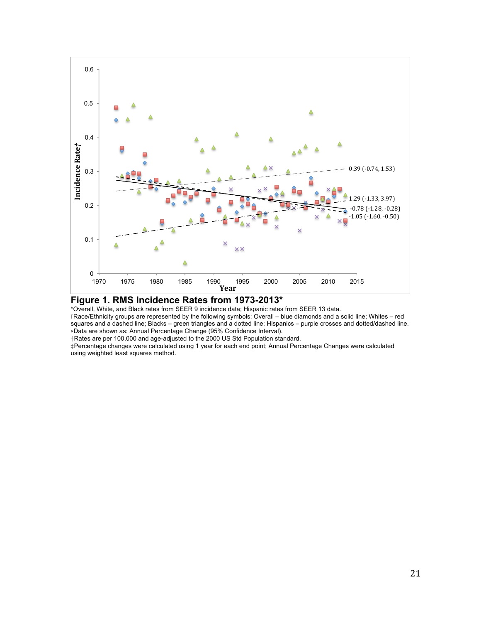

#### **Figure 1. RMS Incidence Rates from 1973-2013\***

\*Overall, White, and Black rates from SEER 9 incidence data; Hispanic rates from SEER 13 data.

⊺Race/Ethnicity groups are represented by the following symbols: Overall – blue diamonds and a solid line; Whites – red squares and a dashed line; Blacks – green triangles and a dotted line; Hispanics – purple crosses and dotted/dashed line. ⋄Data are shown as: Annual Percentage Change (95% Confidence Interval).

†Rates are per 100,000 and age-adjusted to the 2000 US Std Population standard.

‡Percentage changes were calculated using 1 year for each end point; Annual Percentage Changes were calculated using weighted least squares method.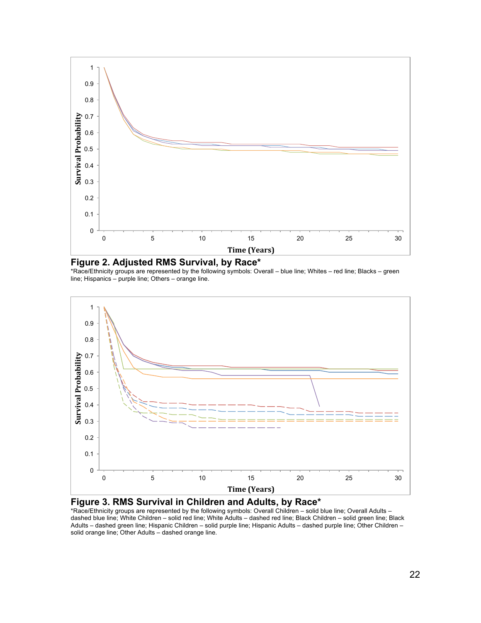

**Figure 2. Adjusted RMS Survival, by Race\***

\*Race/Ethnicity groups are represented by the following symbols: Overall – blue line; Whites – red line; Blacks – green line; Hispanics – purple line; Others – orange line.





\*Race/Ethnicity groups are represented by the following symbols: Overall Children – solid blue line; Overall Adults – dashed blue line; White Children – solid red line; White Adults – dashed red line; Black Children – solid green line; Black Adults – dashed green line; Hispanic Children – solid purple line; Hispanic Adults – dashed purple line; Other Children – solid orange line; Other Adults – dashed orange line.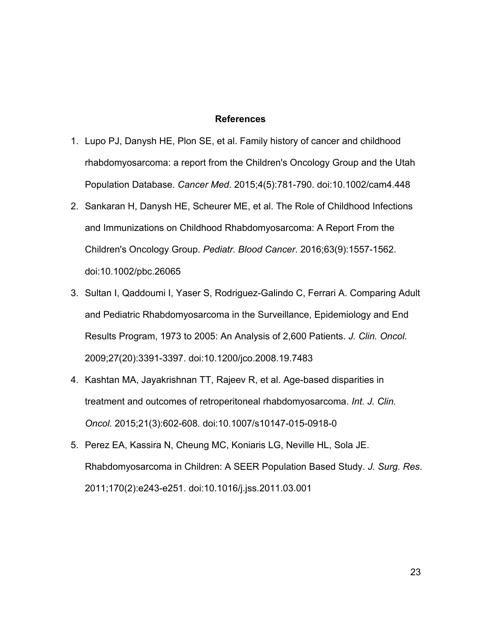#### **References**

- 1. Lupo PJ, Danysh HE, Plon SE, et al. Family history of cancer and childhood rhabdomyosarcoma: a report from the Children's Oncology Group and the Utah Population Database. *Cancer Med*. 2015;4(5):781-790. doi:10.1002/cam4.448
- 2. Sankaran H, Danysh HE, Scheurer ME, et al. The Role of Childhood Infections and Immunizations on Childhood Rhabdomyosarcoma: A Report From the Children's Oncology Group. *Pediatr. Blood Cancer*. 2016;63(9):1557-1562. doi:10.1002/pbc.26065
- 3. Sultan I, Qaddoumi I, Yaser S, Rodriguez-Galindo C, Ferrari A. Comparing Adult and Pediatric Rhabdomyosarcoma in the Surveillance, Epidemiology and End Results Program, 1973 to 2005: An Analysis of 2,600 Patients. *J. Clin. Oncol*. 2009;27(20):3391-3397. doi:10.1200/jco.2008.19.7483
- 4. Kashtan MA, Jayakrishnan TT, Rajeev R, et al. Age-based disparities in treatment and outcomes of retroperitoneal rhabdomyosarcoma. *Int. J. Clin. Oncol.* 2015;21(3):602-608. doi:10.1007/s10147-015-0918-0
- 5. Perez EA, Kassira N, Cheung MC, Koniaris LG, Neville HL, Sola JE. Rhabdomyosarcoma in Children: A SEER Population Based Study. *J. Surg. Res*. 2011;170(2):e243-e251. doi:10.1016/j.jss.2011.03.001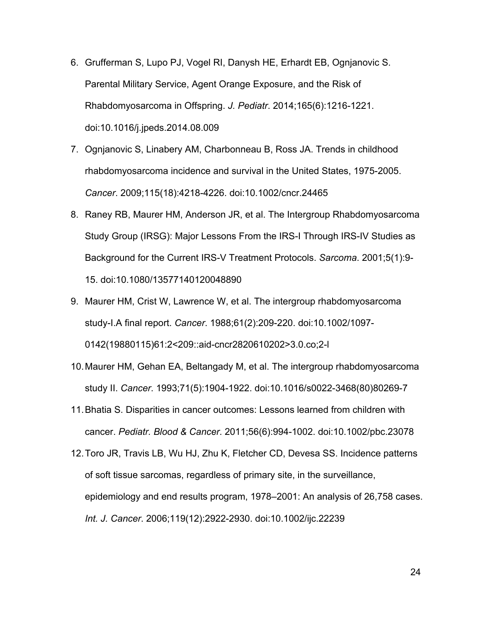- 6. Grufferman S, Lupo PJ, Vogel RI, Danysh HE, Erhardt EB, Ognjanovic S. Parental Military Service, Agent Orange Exposure, and the Risk of Rhabdomyosarcoma in Offspring. *J. Pediatr*. 2014;165(6):1216-1221. doi:10.1016/j.jpeds.2014.08.009
- 7. Ognjanovic S, Linabery AM, Charbonneau B, Ross JA. Trends in childhood rhabdomyosarcoma incidence and survival in the United States, 1975-2005. *Cancer*. 2009;115(18):4218-4226. doi:10.1002/cncr.24465
- 8. Raney RB, Maurer HM, Anderson JR, et al. The Intergroup Rhabdomyosarcoma Study Group (IRSG): Major Lessons From the IRS-I Through IRS-IV Studies as Background for the Current IRS-V Treatment Protocols. *Sarcoma*. 2001;5(1):9- 15. doi:10.1080/13577140120048890
- 9. Maurer HM, Crist W, Lawrence W, et al. The intergroup rhabdomyosarcoma study-I.A final report. *Cancer*. 1988;61(2):209-220. doi:10.1002/1097- 0142(19880115)61:2<209::aid-cncr2820610202>3.0.co;2-l
- 10.Maurer HM, Gehan EA, Beltangady M, et al. The intergroup rhabdomyosarcoma study II. *Cancer*. 1993;71(5):1904-1922. doi:10.1016/s0022-3468(80)80269-7
- 11.Bhatia S. Disparities in cancer outcomes: Lessons learned from children with cancer. *Pediatr. Blood & Cancer*. 2011;56(6):994-1002. doi:10.1002/pbc.23078
- 12.Toro JR, Travis LB, Wu HJ, Zhu K, Fletcher CD, Devesa SS. Incidence patterns of soft tissue sarcomas, regardless of primary site, in the surveillance, epidemiology and end results program, 1978–2001: An analysis of 26,758 cases. *Int. J. Cancer*. 2006;119(12):2922-2930. doi:10.1002/ijc.22239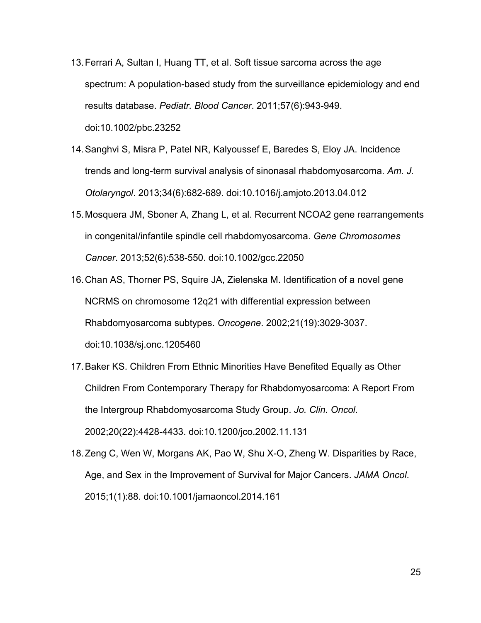- 13.Ferrari A, Sultan I, Huang TT, et al. Soft tissue sarcoma across the age spectrum: A population-based study from the surveillance epidemiology and end results database. *Pediatr. Blood Cancer*. 2011;57(6):943-949. doi:10.1002/pbc.23252
- 14.Sanghvi S, Misra P, Patel NR, Kalyoussef E, Baredes S, Eloy JA. Incidence trends and long-term survival analysis of sinonasal rhabdomyosarcoma. *Am. J. Otolaryngol*. 2013;34(6):682-689. doi:10.1016/j.amjoto.2013.04.012
- 15.Mosquera JM, Sboner A, Zhang L, et al. Recurrent NCOA2 gene rearrangements in congenital/infantile spindle cell rhabdomyosarcoma. *Gene Chromosomes Cancer*. 2013;52(6):538-550. doi:10.1002/gcc.22050
- 16.Chan AS, Thorner PS, Squire JA, Zielenska M. Identification of a novel gene NCRMS on chromosome 12q21 with differential expression between Rhabdomyosarcoma subtypes. *Oncogene*. 2002;21(19):3029-3037. doi:10.1038/sj.onc.1205460
- 17.Baker KS. Children From Ethnic Minorities Have Benefited Equally as Other Children From Contemporary Therapy for Rhabdomyosarcoma: A Report From the Intergroup Rhabdomyosarcoma Study Group. *Jo. Clin. Oncol*. 2002;20(22):4428-4433. doi:10.1200/jco.2002.11.131
- 18.Zeng C, Wen W, Morgans AK, Pao W, Shu X-O, Zheng W. Disparities by Race, Age, and Sex in the Improvement of Survival for Major Cancers. *JAMA Oncol*. 2015;1(1):88. doi:10.1001/jamaoncol.2014.161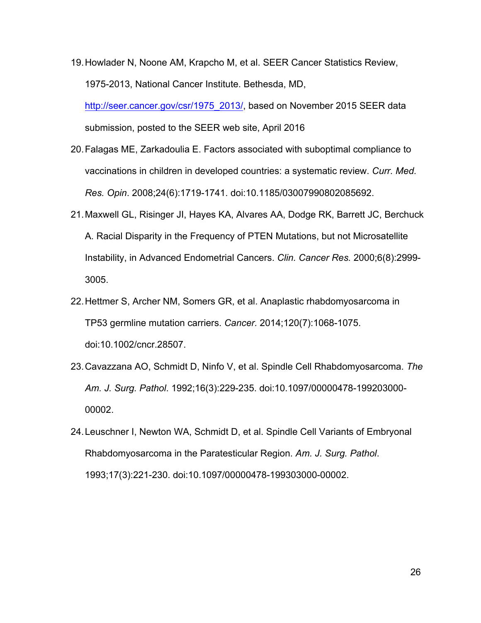19.Howlader N, Noone AM, Krapcho M, et al. SEER Cancer Statistics Review, 1975-2013, National Cancer Institute. Bethesda, MD,

http://seer.cancer.gov/csr/1975\_2013/, based on November 2015 SEER data submission, posted to the SEER web site, April 2016

- 20.Falagas ME, Zarkadoulia E. Factors associated with suboptimal compliance to vaccinations in children in developed countries: a systematic review. *Curr. Med. Res. Opin*. 2008;24(6):1719-1741. doi:10.1185/03007990802085692.
- 21.Maxwell GL, Risinger JI, Hayes KA, Alvares AA, Dodge RK, Barrett JC, Berchuck A. Racial Disparity in the Frequency of PTEN Mutations, but not Microsatellite Instability, in Advanced Endometrial Cancers. *Clin. Cancer Res.* 2000;6(8):2999- 3005.
- 22.Hettmer S, Archer NM, Somers GR, et al. Anaplastic rhabdomyosarcoma in TP53 germline mutation carriers. *Cancer.* 2014;120(7):1068-1075. doi:10.1002/cncr.28507.
- 23.Cavazzana AO, Schmidt D, Ninfo V, et al. Spindle Cell Rhabdomyosarcoma. *The Am. J. Surg. Pathol*. 1992;16(3):229-235. doi:10.1097/00000478-199203000- 00002.
- 24.Leuschner I, Newton WA, Schmidt D, et al. Spindle Cell Variants of Embryonal Rhabdomyosarcoma in the Paratesticular Region. *Am. J. Surg. Pathol*. 1993;17(3):221-230. doi:10.1097/00000478-199303000-00002.